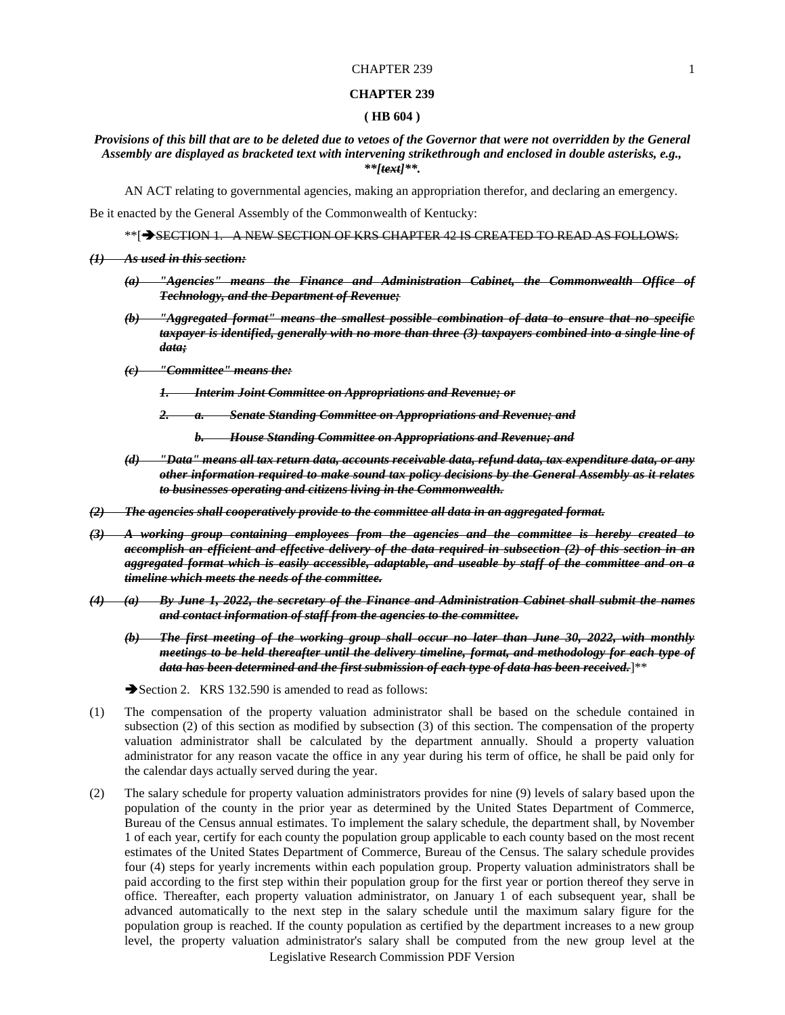#### **CHAPTER 239**

#### **( HB 604 )**

# *Provisions of this bill that are to be deleted due to vetoes of the Governor that were not overridden by the General Assembly are displayed as bracketed text with intervening strikethrough and enclosed in double asterisks, e.g., \*\*[text]\*\*.*

AN ACT relating to governmental agencies, making an appropriation therefor, and declaring an emergency.

Be it enacted by the General Assembly of the Commonwealth of Kentucky:

\*\*[ $\rightarrow$ SECTION 1. A NEW SECTION OF KRS CHAPTER 42 IS CREATED TO READ AS FOLLOWS:

## *(1) As used in this section:*

- *(a) "Agencies" means the Finance and Administration Cabinet, the Commonwealth Office of Technology, and the Department of Revenue;*
- *(b) "Aggregated format" means the smallest possible combination of data to ensure that no specific taxpayer is identified, generally with no more than three (3) taxpayers combined into a single line of data;*
- *(c) "Committee" means the:*
	- *1. Interim Joint Committee on Appropriations and Revenue; or*
	- *2. a. Senate Standing Committee on Appropriations and Revenue; and*
		- *b. House Standing Committee on Appropriations and Revenue; and*
- *(d) "Data" means all tax return data, accounts receivable data, refund data, tax expenditure data, or any other information required to make sound tax policy decisions by the General Assembly as it relates to businesses operating and citizens living in the Commonwealth.*
- *(2) The agencies shall cooperatively provide to the committee all data in an aggregated format.*
- *(3) A working group containing employees from the agencies and the committee is hereby created to accomplish an efficient and effective delivery of the data required in subsection (2) of this section in an aggregated format which is easily accessible, adaptable, and useable by staff of the committee and on a timeline which meets the needs of the committee.*
- *(4) (a) By June 1, 2022, the secretary of the Finance and Administration Cabinet shall submit the names and contact information of staff from the agencies to the committee.*
	- *(b) The first meeting of the working group shall occur no later than June 30, 2022, with monthly meetings to be held thereafter until the delivery timeline, format, and methodology for each type of data has been determined and the first submission of each type of data has been received.*]\*\*
	- Section 2. KRS 132.590 is amended to read as follows:
- (1) The compensation of the property valuation administrator shall be based on the schedule contained in subsection (2) of this section as modified by subsection (3) of this section. The compensation of the property valuation administrator shall be calculated by the department annually. Should a property valuation administrator for any reason vacate the office in any year during his term of office, he shall be paid only for the calendar days actually served during the year.
- Legislative Research Commission PDF Version (2) The salary schedule for property valuation administrators provides for nine (9) levels of salary based upon the population of the county in the prior year as determined by the United States Department of Commerce, Bureau of the Census annual estimates. To implement the salary schedule, the department shall, by November 1 of each year, certify for each county the population group applicable to each county based on the most recent estimates of the United States Department of Commerce, Bureau of the Census. The salary schedule provides four (4) steps for yearly increments within each population group. Property valuation administrators shall be paid according to the first step within their population group for the first year or portion thereof they serve in office. Thereafter, each property valuation administrator, on January 1 of each subsequent year, shall be advanced automatically to the next step in the salary schedule until the maximum salary figure for the population group is reached. If the county population as certified by the department increases to a new group level, the property valuation administrator's salary shall be computed from the new group level at the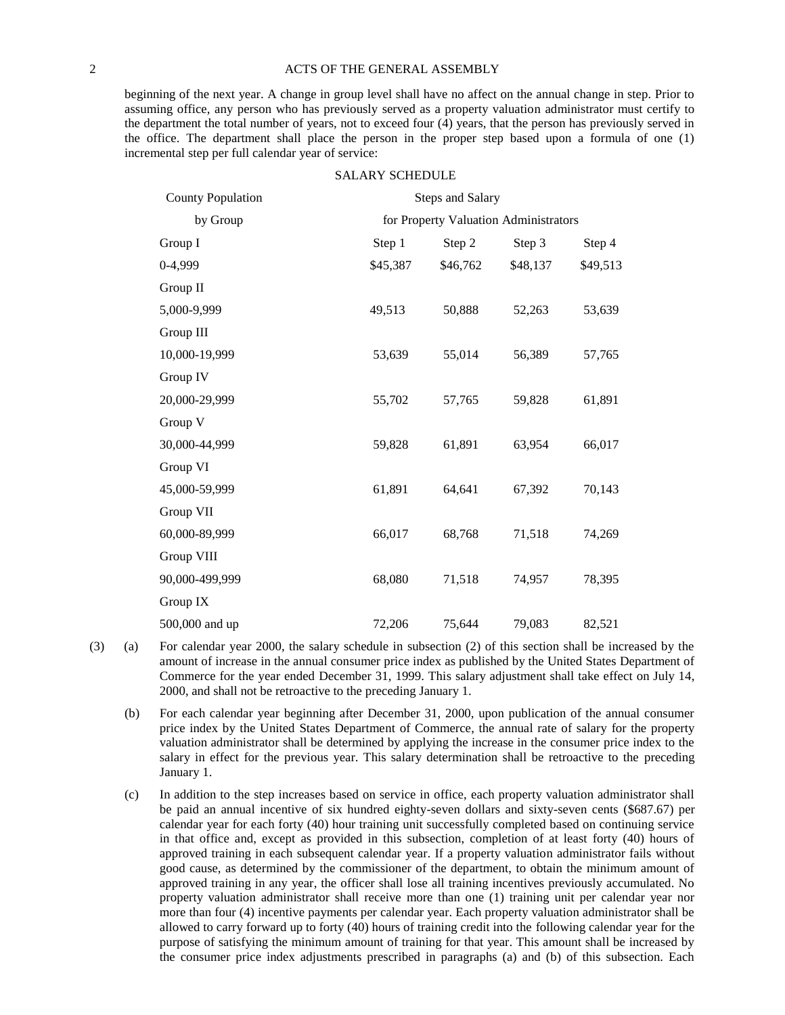### 2 ACTS OF THE GENERAL ASSEMBLY

beginning of the next year. A change in group level shall have no affect on the annual change in step. Prior to assuming office, any person who has previously served as a property valuation administrator must certify to the department the total number of years, not to exceed four (4) years, that the person has previously served in the office. The department shall place the person in the proper step based upon a formula of one (1) incremental step per full calendar year of service:

### SALARY SCHEDULE

| <b>County Population</b> | <b>Steps and Salary</b> |                                       |          |          |  |
|--------------------------|-------------------------|---------------------------------------|----------|----------|--|
| by Group                 |                         | for Property Valuation Administrators |          |          |  |
| Group I                  | Step 1                  | Step 2                                | Step 3   | Step 4   |  |
| 0-4,999                  | \$45,387                | \$46,762                              | \$48,137 | \$49,513 |  |
| Group II                 |                         |                                       |          |          |  |
| 5,000-9,999              | 49,513                  | 50,888                                | 52,263   | 53,639   |  |
| Group III                |                         |                                       |          |          |  |
| 10,000-19,999            | 53,639                  | 55,014                                | 56,389   | 57,765   |  |
| Group IV                 |                         |                                       |          |          |  |
| 20,000-29,999            | 55,702                  | 57,765                                | 59,828   | 61,891   |  |
| Group V                  |                         |                                       |          |          |  |
| 30,000-44,999            | 59,828                  | 61,891                                | 63,954   | 66,017   |  |
| Group VI                 |                         |                                       |          |          |  |
| 45,000-59,999            | 61,891                  | 64,641                                | 67,392   | 70,143   |  |
| Group VII                |                         |                                       |          |          |  |
| 60,000-89,999            | 66,017                  | 68,768                                | 71,518   | 74,269   |  |
| Group VIII               |                         |                                       |          |          |  |
| 90,000-499,999           | 68,080                  | 71,518                                | 74,957   | 78,395   |  |
| Group IX                 |                         |                                       |          |          |  |
| 500,000 and up           | 72,206                  | 75,644                                | 79,083   | 82,521   |  |

- (3) (a) For calendar year 2000, the salary schedule in subsection (2) of this section shall be increased by the amount of increase in the annual consumer price index as published by the United States Department of Commerce for the year ended December 31, 1999. This salary adjustment shall take effect on July 14, 2000, and shall not be retroactive to the preceding January 1.
	- (b) For each calendar year beginning after December 31, 2000, upon publication of the annual consumer price index by the United States Department of Commerce, the annual rate of salary for the property valuation administrator shall be determined by applying the increase in the consumer price index to the salary in effect for the previous year. This salary determination shall be retroactive to the preceding January 1.
	- (c) In addition to the step increases based on service in office, each property valuation administrator shall be paid an annual incentive of six hundred eighty-seven dollars and sixty-seven cents (\$687.67) per calendar year for each forty (40) hour training unit successfully completed based on continuing service in that office and, except as provided in this subsection, completion of at least forty (40) hours of approved training in each subsequent calendar year. If a property valuation administrator fails without good cause, as determined by the commissioner of the department, to obtain the minimum amount of approved training in any year, the officer shall lose all training incentives previously accumulated. No property valuation administrator shall receive more than one (1) training unit per calendar year nor more than four (4) incentive payments per calendar year. Each property valuation administrator shall be allowed to carry forward up to forty (40) hours of training credit into the following calendar year for the purpose of satisfying the minimum amount of training for that year. This amount shall be increased by the consumer price index adjustments prescribed in paragraphs (a) and (b) of this subsection. Each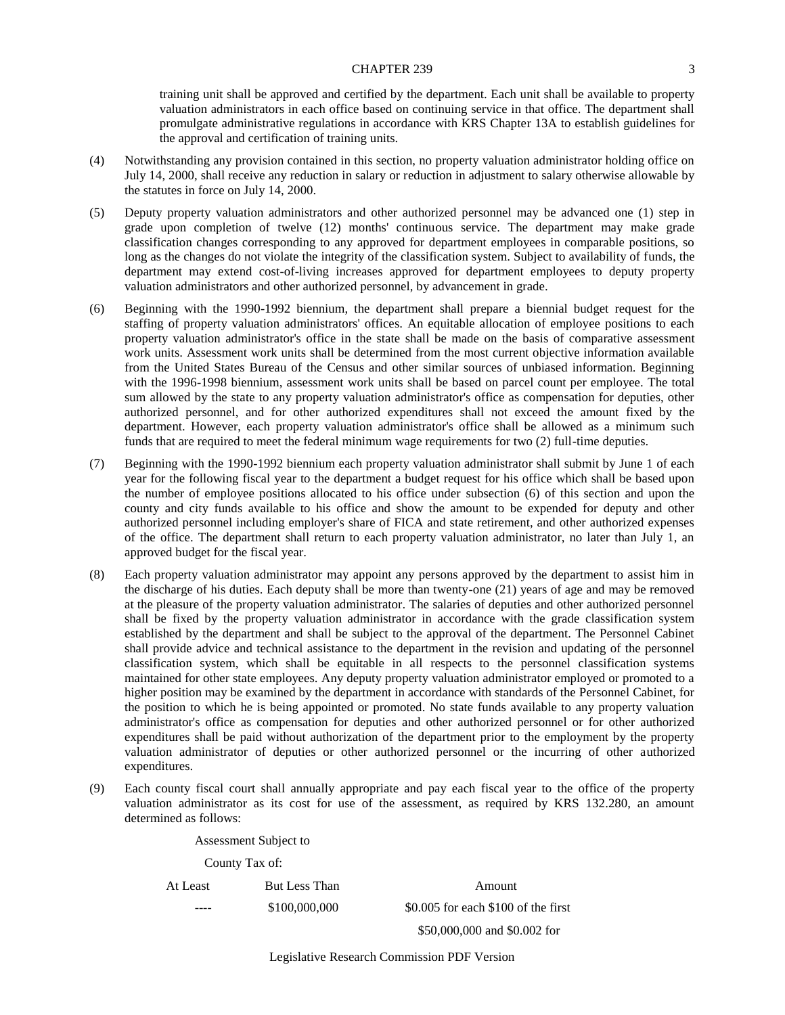training unit shall be approved and certified by the department. Each unit shall be available to property valuation administrators in each office based on continuing service in that office. The department shall promulgate administrative regulations in accordance with KRS Chapter 13A to establish guidelines for the approval and certification of training units.

- (4) Notwithstanding any provision contained in this section, no property valuation administrator holding office on July 14, 2000, shall receive any reduction in salary or reduction in adjustment to salary otherwise allowable by the statutes in force on July 14, 2000.
- (5) Deputy property valuation administrators and other authorized personnel may be advanced one (1) step in grade upon completion of twelve (12) months' continuous service. The department may make grade classification changes corresponding to any approved for department employees in comparable positions, so long as the changes do not violate the integrity of the classification system. Subject to availability of funds, the department may extend cost-of-living increases approved for department employees to deputy property valuation administrators and other authorized personnel, by advancement in grade.
- (6) Beginning with the 1990-1992 biennium, the department shall prepare a biennial budget request for the staffing of property valuation administrators' offices. An equitable allocation of employee positions to each property valuation administrator's office in the state shall be made on the basis of comparative assessment work units. Assessment work units shall be determined from the most current objective information available from the United States Bureau of the Census and other similar sources of unbiased information. Beginning with the 1996-1998 biennium, assessment work units shall be based on parcel count per employee. The total sum allowed by the state to any property valuation administrator's office as compensation for deputies, other authorized personnel, and for other authorized expenditures shall not exceed the amount fixed by the department. However, each property valuation administrator's office shall be allowed as a minimum such funds that are required to meet the federal minimum wage requirements for two (2) full-time deputies.
- (7) Beginning with the 1990-1992 biennium each property valuation administrator shall submit by June 1 of each year for the following fiscal year to the department a budget request for his office which shall be based upon the number of employee positions allocated to his office under subsection (6) of this section and upon the county and city funds available to his office and show the amount to be expended for deputy and other authorized personnel including employer's share of FICA and state retirement, and other authorized expenses of the office. The department shall return to each property valuation administrator, no later than July 1, an approved budget for the fiscal year.
- (8) Each property valuation administrator may appoint any persons approved by the department to assist him in the discharge of his duties. Each deputy shall be more than twenty-one (21) years of age and may be removed at the pleasure of the property valuation administrator. The salaries of deputies and other authorized personnel shall be fixed by the property valuation administrator in accordance with the grade classification system established by the department and shall be subject to the approval of the department. The Personnel Cabinet shall provide advice and technical assistance to the department in the revision and updating of the personnel classification system, which shall be equitable in all respects to the personnel classification systems maintained for other state employees. Any deputy property valuation administrator employed or promoted to a higher position may be examined by the department in accordance with standards of the Personnel Cabinet, for the position to which he is being appointed or promoted. No state funds available to any property valuation administrator's office as compensation for deputies and other authorized personnel or for other authorized expenditures shall be paid without authorization of the department prior to the employment by the property valuation administrator of deputies or other authorized personnel or the incurring of other authorized expenditures.
- (9) Each county fiscal court shall annually appropriate and pay each fiscal year to the office of the property valuation administrator as its cost for use of the assessment, as required by KRS 132.280, an amount determined as follows:

Assessment Subject to

County Tax of:

At Least But Less Than Amount ---- \$100,000,000 \$0.005 for each \$100 of the first \$50,000,000 and \$0.002 for

Legislative Research Commission PDF Version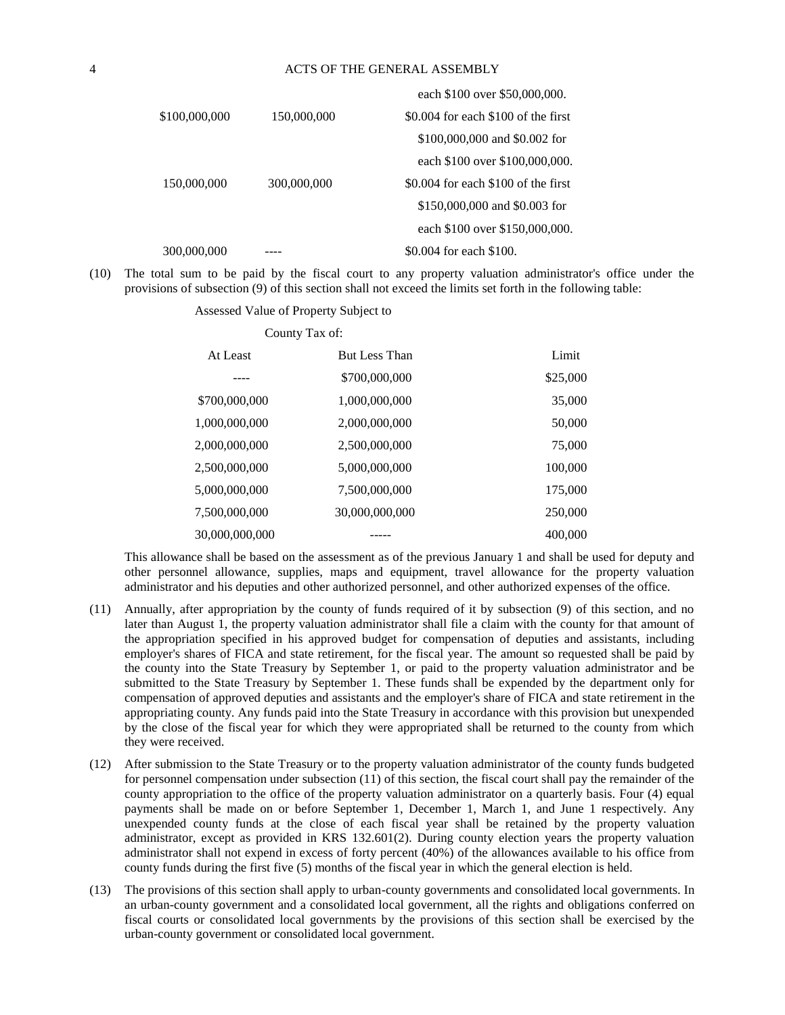|               |             | each \$100 over \$50,000,000.         |
|---------------|-------------|---------------------------------------|
| \$100,000,000 | 150,000,000 | $$0.004$ for each $$100$ of the first |
|               |             | \$100,000,000 and \$0.002 for         |
|               |             | each \$100 over \$100,000,000.        |
| 150,000,000   | 300,000,000 | $$0.004$ for each $$100$ of the first |
|               |             | \$150,000,000 and \$0.003 for         |
|               |             | each \$100 over \$150,000,000.        |
| 300,000,000   |             | \$0.004 for each \$100.               |
|               |             |                                       |

(10) The total sum to be paid by the fiscal court to any property valuation administrator's office under the provisions of subsection (9) of this section shall not exceed the limits set forth in the following table:

> Assessed Value of Property Subject to County Tax of:

| At Least       | <b>But Less Than</b> | Limit    |
|----------------|----------------------|----------|
|                | \$700,000,000        | \$25,000 |
| \$700,000,000  | 1,000,000,000        | 35,000   |
| 1,000,000,000  | 2,000,000,000        | 50,000   |
| 2,000,000,000  | 2,500,000,000        | 75,000   |
| 2,500,000,000  | 5,000,000,000        | 100,000  |
| 5,000,000,000  | 7,500,000,000        | 175,000  |
| 7,500,000,000  | 30,000,000,000       | 250,000  |
| 30,000,000,000 |                      | 400,000  |

This allowance shall be based on the assessment as of the previous January 1 and shall be used for deputy and other personnel allowance, supplies, maps and equipment, travel allowance for the property valuation administrator and his deputies and other authorized personnel, and other authorized expenses of the office.

- (11) Annually, after appropriation by the county of funds required of it by subsection (9) of this section, and no later than August 1, the property valuation administrator shall file a claim with the county for that amount of the appropriation specified in his approved budget for compensation of deputies and assistants, including employer's shares of FICA and state retirement, for the fiscal year. The amount so requested shall be paid by the county into the State Treasury by September 1, or paid to the property valuation administrator and be submitted to the State Treasury by September 1. These funds shall be expended by the department only for compensation of approved deputies and assistants and the employer's share of FICA and state retirement in the appropriating county. Any funds paid into the State Treasury in accordance with this provision but unexpended by the close of the fiscal year for which they were appropriated shall be returned to the county from which they were received.
- (12) After submission to the State Treasury or to the property valuation administrator of the county funds budgeted for personnel compensation under subsection (11) of this section, the fiscal court shall pay the remainder of the county appropriation to the office of the property valuation administrator on a quarterly basis. Four (4) equal payments shall be made on or before September 1, December 1, March 1, and June 1 respectively. Any unexpended county funds at the close of each fiscal year shall be retained by the property valuation administrator, except as provided in KRS 132.601(2). During county election years the property valuation administrator shall not expend in excess of forty percent (40%) of the allowances available to his office from county funds during the first five (5) months of the fiscal year in which the general election is held.
- (13) The provisions of this section shall apply to urban-county governments and consolidated local governments. In an urban-county government and a consolidated local government, all the rights and obligations conferred on fiscal courts or consolidated local governments by the provisions of this section shall be exercised by the urban-county government or consolidated local government.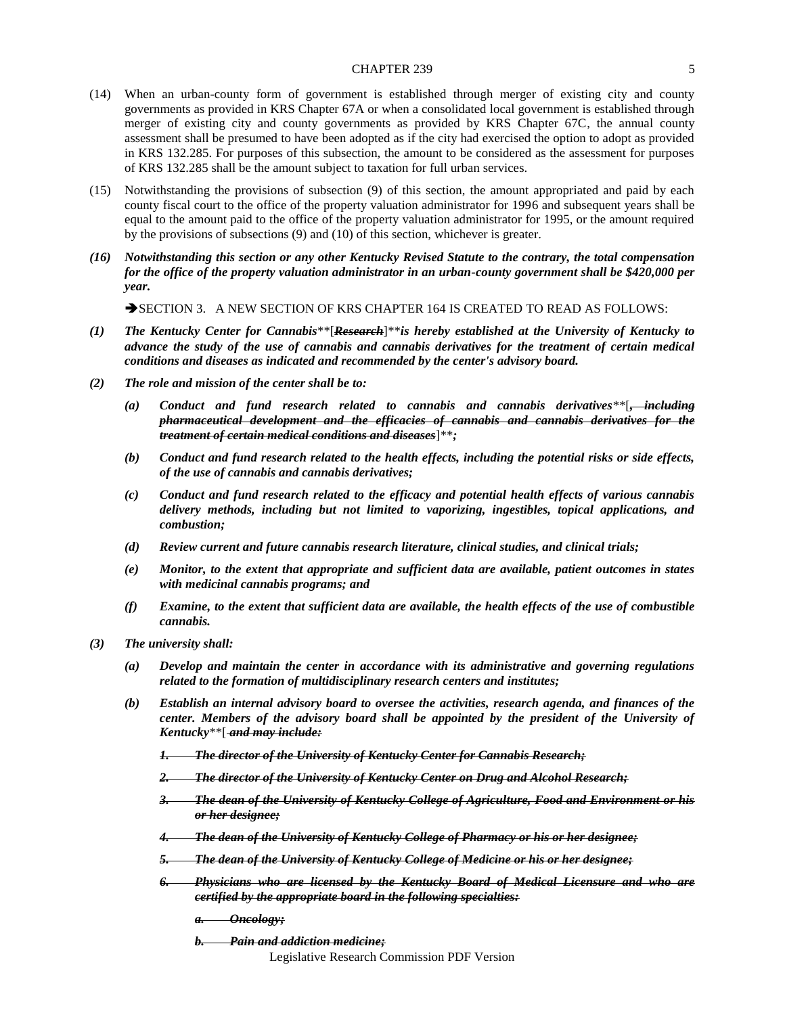- (14) When an urban-county form of government is established through merger of existing city and county governments as provided in KRS Chapter 67A or when a consolidated local government is established through merger of existing city and county governments as provided by KRS Chapter 67C, the annual county assessment shall be presumed to have been adopted as if the city had exercised the option to adopt as provided in KRS 132.285. For purposes of this subsection, the amount to be considered as the assessment for purposes of KRS 132.285 shall be the amount subject to taxation for full urban services.
- (15) Notwithstanding the provisions of subsection (9) of this section, the amount appropriated and paid by each county fiscal court to the office of the property valuation administrator for 1996 and subsequent years shall be equal to the amount paid to the office of the property valuation administrator for 1995, or the amount required by the provisions of subsections (9) and (10) of this section, whichever is greater.
- *(16) Notwithstanding this section or any other Kentucky Revised Statute to the contrary, the total compensation for the office of the property valuation administrator in an urban-county government shall be \$420,000 per year.*

SECTION 3. A NEW SECTION OF KRS CHAPTER 164 IS CREATED TO READ AS FOLLOWS:

- *(1) The Kentucky Center for Cannabis*\*\*[*Research*]\*\**is hereby established at the University of Kentucky to advance the study of the use of cannabis and cannabis derivatives for the treatment of certain medical conditions and diseases as indicated and recommended by the center's advisory board.*
- *(2) The role and mission of the center shall be to:*
	- *(a) Conduct and fund research related to cannabis and cannabis derivatives*\*\*[*, including pharmaceutical development and the efficacies of cannabis and cannabis derivatives for the treatment of certain medical conditions and diseases*]\*\**;*
	- *(b) Conduct and fund research related to the health effects, including the potential risks or side effects, of the use of cannabis and cannabis derivatives;*
	- *(c) Conduct and fund research related to the efficacy and potential health effects of various cannabis delivery methods, including but not limited to vaporizing, ingestibles, topical applications, and combustion;*
	- *(d) Review current and future cannabis research literature, clinical studies, and clinical trials;*
	- *(e) Monitor, to the extent that appropriate and sufficient data are available, patient outcomes in states with medicinal cannabis programs; and*
	- *(f) Examine, to the extent that sufficient data are available, the health effects of the use of combustible cannabis.*
- *(3) The university shall:*
	- *(a) Develop and maintain the center in accordance with its administrative and governing regulations related to the formation of multidisciplinary research centers and institutes;*
	- *(b) Establish an internal advisory board to oversee the activities, research agenda, and finances of the center. Members of the advisory board shall be appointed by the president of the University of Kentucky*\*\*[ *and may include:*
		- *1. The director of the University of Kentucky Center for Cannabis Research;*
		- *2. The director of the University of Kentucky Center on Drug and Alcohol Research;*
		- *3. The dean of the University of Kentucky College of Agriculture, Food and Environment or his or her designee;*
		- *4. The dean of the University of Kentucky College of Pharmacy or his or her designee;*
		- *5. The dean of the University of Kentucky College of Medicine or his or her designee;*
		- *6. Physicians who are licensed by the Kentucky Board of Medical Licensure and who are certified by the appropriate board in the following specialties:*
			- *a. Oncology;*
			- *b. Pain and addiction medicine;*

Legislative Research Commission PDF Version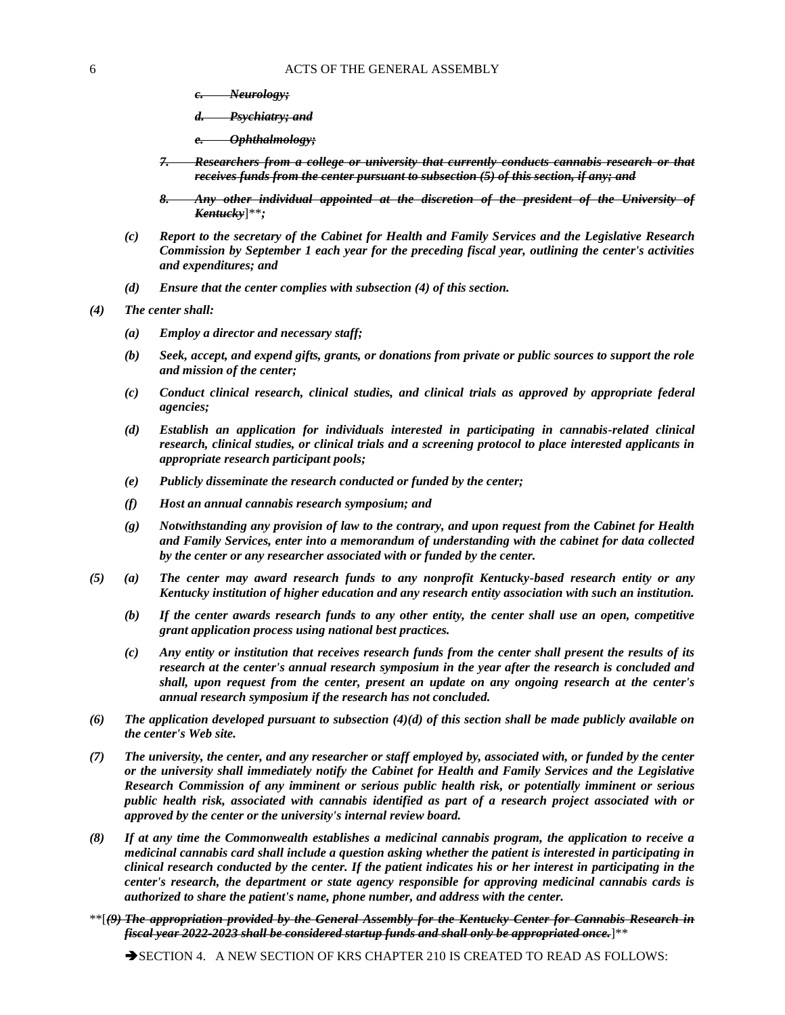- *c. Neurology;*
- *d. Psychiatry; and*
- *e. Ophthalmology;*
- *7. Researchers from a college or university that currently conducts cannabis research or that receives funds from the center pursuant to subsection (5) of this section, if any; and*
- *8. Any other individual appointed at the discretion of the president of the University of Kentucky*]\*\**;*
- *(c) Report to the secretary of the Cabinet for Health and Family Services and the Legislative Research Commission by September 1 each year for the preceding fiscal year, outlining the center's activities and expenditures; and*
- *(d) Ensure that the center complies with subsection (4) of this section.*
- *(4) The center shall:*
	- *(a) Employ a director and necessary staff;*
	- *(b) Seek, accept, and expend gifts, grants, or donations from private or public sources to support the role and mission of the center;*
	- *(c) Conduct clinical research, clinical studies, and clinical trials as approved by appropriate federal agencies;*
	- *(d) Establish an application for individuals interested in participating in cannabis-related clinical research, clinical studies, or clinical trials and a screening protocol to place interested applicants in appropriate research participant pools;*
	- *(e) Publicly disseminate the research conducted or funded by the center;*
	- *(f) Host an annual cannabis research symposium; and*
	- *(g) Notwithstanding any provision of law to the contrary, and upon request from the Cabinet for Health and Family Services, enter into a memorandum of understanding with the cabinet for data collected by the center or any researcher associated with or funded by the center.*
- *(5) (a) The center may award research funds to any nonprofit Kentucky-based research entity or any Kentucky institution of higher education and any research entity association with such an institution.*
	- *(b) If the center awards research funds to any other entity, the center shall use an open, competitive grant application process using national best practices.*
	- *(c) Any entity or institution that receives research funds from the center shall present the results of its research at the center's annual research symposium in the year after the research is concluded and shall, upon request from the center, present an update on any ongoing research at the center's annual research symposium if the research has not concluded.*
- *(6) The application developed pursuant to subsection (4)(d) of this section shall be made publicly available on the center's Web site.*
- *(7) The university, the center, and any researcher or staff employed by, associated with, or funded by the center or the university shall immediately notify the Cabinet for Health and Family Services and the Legislative Research Commission of any imminent or serious public health risk, or potentially imminent or serious public health risk, associated with cannabis identified as part of a research project associated with or approved by the center or the university's internal review board.*
- *(8) If at any time the Commonwealth establishes a medicinal cannabis program, the application to receive a medicinal cannabis card shall include a question asking whether the patient is interested in participating in clinical research conducted by the center. If the patient indicates his or her interest in participating in the center's research, the department or state agency responsible for approving medicinal cannabis cards is authorized to share the patient's name, phone number, and address with the center.*
- \*\*[*(9) The appropriation provided by the General Assembly for the Kentucky Center for Cannabis Research in fiscal year 2022-2023 shall be considered startup funds and shall only be appropriated once.*]\*\*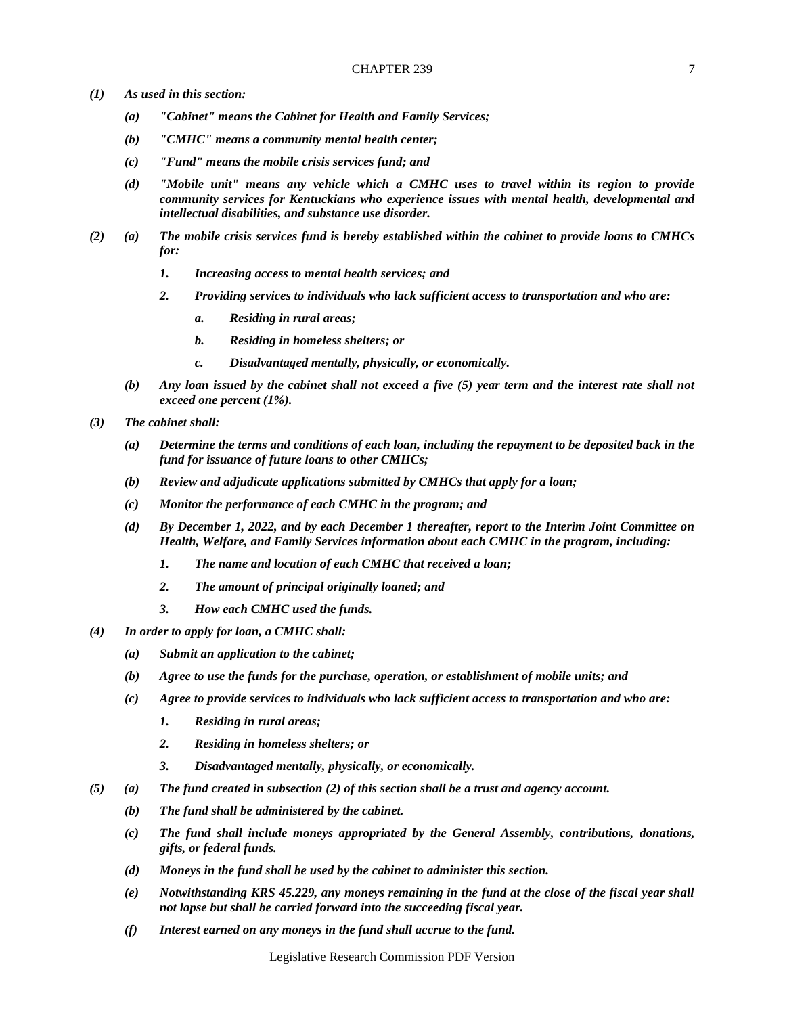- *(1) As used in this section:* 
	- *(a) "Cabinet" means the Cabinet for Health and Family Services;*
	- *(b) "CMHC" means a community mental health center;*
	- *(c) "Fund" means the mobile crisis services fund; and*
	- *(d) "Mobile unit" means any vehicle which a CMHC uses to travel within its region to provide community services for Kentuckians who experience issues with mental health, developmental and intellectual disabilities, and substance use disorder.*
- *(2) (a) The mobile crisis services fund is hereby established within the cabinet to provide loans to CMHCs for:*
	- *1. Increasing access to mental health services; and*
	- *2. Providing services to individuals who lack sufficient access to transportation and who are:*
		- *a. Residing in rural areas;*
		- *b. Residing in homeless shelters; or*
		- *c. Disadvantaged mentally, physically, or economically.*
	- *(b) Any loan issued by the cabinet shall not exceed a five (5) year term and the interest rate shall not exceed one percent (1%).*
- *(3) The cabinet shall:*
	- *(a) Determine the terms and conditions of each loan, including the repayment to be deposited back in the fund for issuance of future loans to other CMHCs;*
	- *(b) Review and adjudicate applications submitted by CMHCs that apply for a loan;*
	- *(c) Monitor the performance of each CMHC in the program; and*
	- *(d) By December 1, 2022, and by each December 1 thereafter, report to the Interim Joint Committee on Health, Welfare, and Family Services information about each CMHC in the program, including:*
		- *1. The name and location of each CMHC that received a loan;*
		- *2. The amount of principal originally loaned; and*
		- *3. How each CMHC used the funds.*
- *(4) In order to apply for loan, a CMHC shall:*
	- *(a) Submit an application to the cabinet;*
	- *(b) Agree to use the funds for the purchase, operation, or establishment of mobile units; and*
	- *(c) Agree to provide services to individuals who lack sufficient access to transportation and who are:*
		- *1. Residing in rural areas;*
		- *2. Residing in homeless shelters; or*
		- *3. Disadvantaged mentally, physically, or economically.*
- *(5) (a) The fund created in subsection (2) of this section shall be a trust and agency account.*
	- *(b) The fund shall be administered by the cabinet.*
	- *(c) The fund shall include moneys appropriated by the General Assembly, contributions, donations, gifts, or federal funds.*
	- *(d) Moneys in the fund shall be used by the cabinet to administer this section.*
	- *(e) Notwithstanding KRS 45.229, any moneys remaining in the fund at the close of the fiscal year shall not lapse but shall be carried forward into the succeeding fiscal year.*
	- *(f) Interest earned on any moneys in the fund shall accrue to the fund.*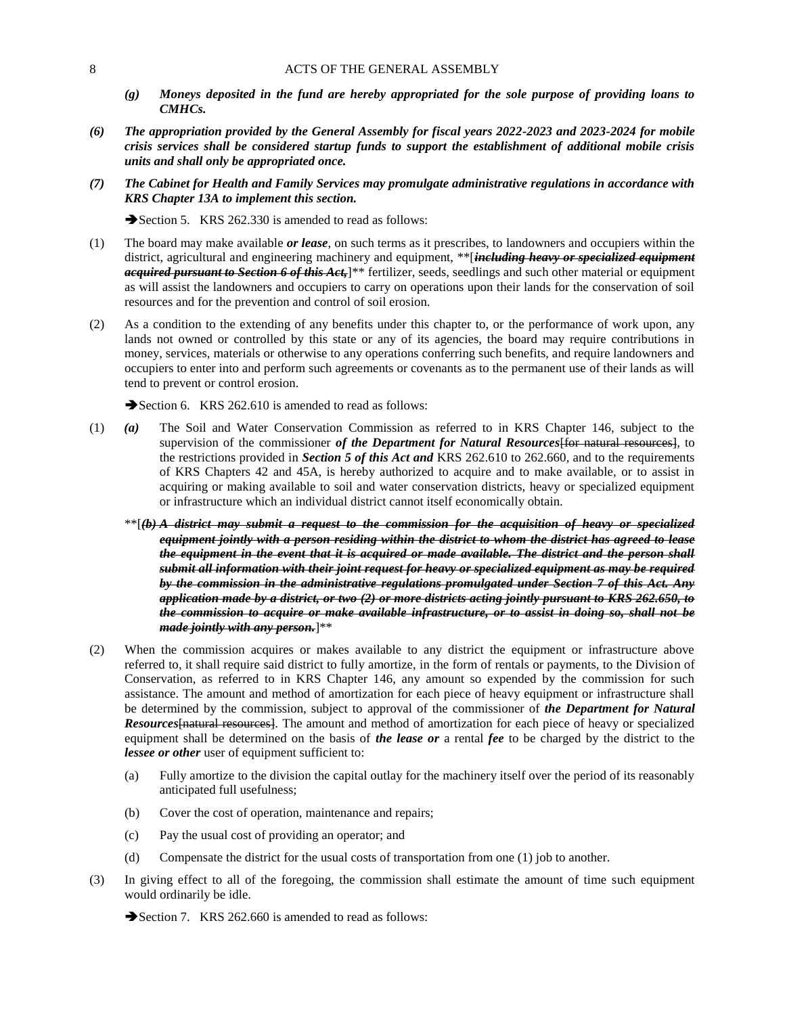- *(g) Moneys deposited in the fund are hereby appropriated for the sole purpose of providing loans to CMHCs.*
- *(6) The appropriation provided by the General Assembly for fiscal years 2022-2023 and 2023-2024 for mobile crisis services shall be considered startup funds to support the establishment of additional mobile crisis units and shall only be appropriated once.*
- *(7) The Cabinet for Health and Family Services may promulgate administrative regulations in accordance with KRS Chapter 13A to implement this section.*

Section 5. KRS 262.330 is amended to read as follows:

- (1) The board may make available *or lease*, on such terms as it prescribes, to landowners and occupiers within the district, agricultural and engineering machinery and equipment, \*\*[*including heavy or specialized equipment acquired pursuant to Section 6 of this Act,*]\*\* fertilizer, seeds, seedlings and such other material or equipment as will assist the landowners and occupiers to carry on operations upon their lands for the conservation of soil resources and for the prevention and control of soil erosion.
- (2) As a condition to the extending of any benefits under this chapter to, or the performance of work upon, any lands not owned or controlled by this state or any of its agencies, the board may require contributions in money, services, materials or otherwise to any operations conferring such benefits, and require landowners and occupiers to enter into and perform such agreements or covenants as to the permanent use of their lands as will tend to prevent or control erosion.

Section 6. KRS 262.610 is amended to read as follows:

- (1) *(a)* The Soil and Water Conservation Commission as referred to in KRS Chapter 146, subject to the supervision of the commissioner *of the Department for Natural Resources* [for natural resources], to the restrictions provided in *Section 5 of this Act and* KRS 262.610 to 262.660, and to the requirements of KRS Chapters 42 and 45A, is hereby authorized to acquire and to make available, or to assist in acquiring or making available to soil and water conservation districts, heavy or specialized equipment or infrastructure which an individual district cannot itself economically obtain.
	- \*\*[*(b) A district may submit a request to the commission for the acquisition of heavy or specialized equipment jointly with a person residing within the district to whom the district has agreed to lease the equipment in the event that it is acquired or made available. The district and the person shall submit all information with their joint request for heavy or specialized equipment as may be required by the commission in the administrative regulations promulgated under Section 7 of this Act. Any application made by a district, or two (2) or more districts acting jointly pursuant to KRS 262.650, to the commission to acquire or make available infrastructure, or to assist in doing so, shall not be made jointly with any person.*]\*\*
- (2) When the commission acquires or makes available to any district the equipment or infrastructure above referred to, it shall require said district to fully amortize, in the form of rentals or payments, to the Division of Conservation, as referred to in KRS Chapter 146, any amount so expended by the commission for such assistance. The amount and method of amortization for each piece of heavy equipment or infrastructure shall be determined by the commission, subject to approval of the commissioner of *the Department for Natural Resources*[natural resources]. The amount and method of amortization for each piece of heavy or specialized equipment shall be determined on the basis of *the lease or* a rental *fee* to be charged by the district to the *lessee or other* user of equipment sufficient to:
	- (a) Fully amortize to the division the capital outlay for the machinery itself over the period of its reasonably anticipated full usefulness;
	- (b) Cover the cost of operation, maintenance and repairs;
	- (c) Pay the usual cost of providing an operator; and
	- (d) Compensate the district for the usual costs of transportation from one (1) job to another.
- (3) In giving effect to all of the foregoing, the commission shall estimate the amount of time such equipment would ordinarily be idle.

Section 7. KRS 262.660 is amended to read as follows: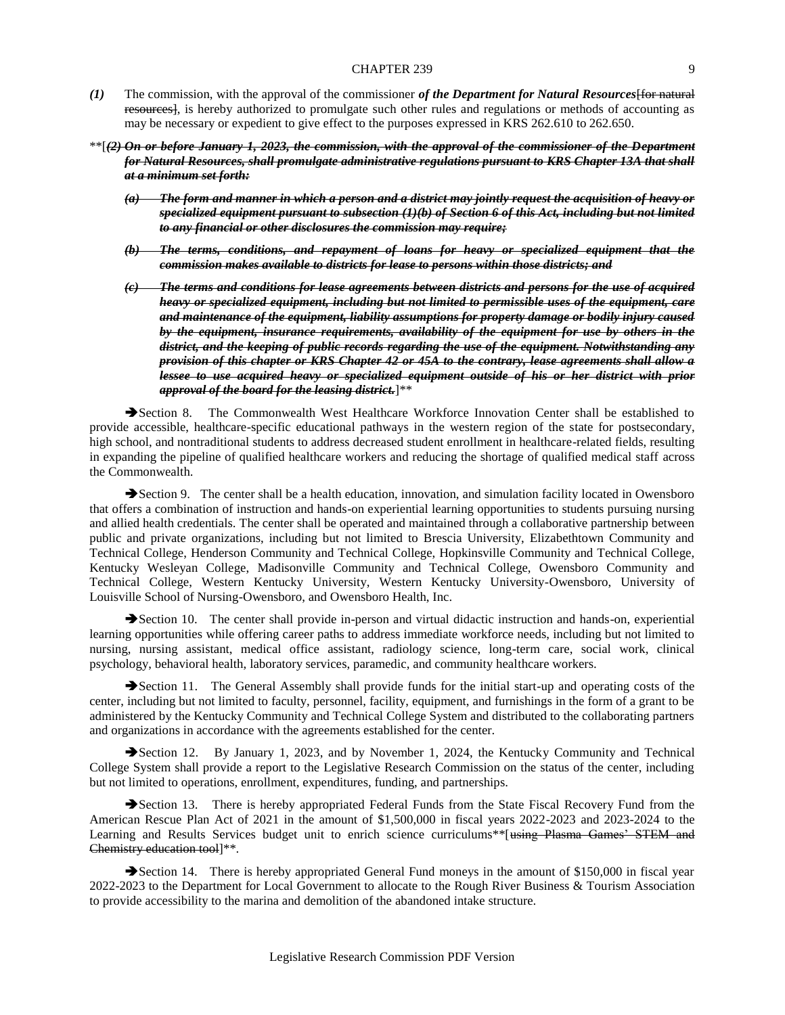- *(1)* The commission, with the approval of the commissioner *of the Department for Natural Resources*[for natural resources], is hereby authorized to promulgate such other rules and regulations or methods of accounting as may be necessary or expedient to give effect to the purposes expressed in KRS 262.610 to 262.650.
- \*\*[*(2) On or before January 1, 2023, the commission, with the approval of the commissioner of the Department for Natural Resources, shall promulgate administrative regulations pursuant to KRS Chapter 13A that shall at a minimum set forth:*
	- *(a) The form and manner in which a person and a district may jointly request the acquisition of heavy or specialized equipment pursuant to subsection (1)(b) of Section 6 of this Act, including but not limited to any financial or other disclosures the commission may require;*
	- *(b) The terms, conditions, and repayment of loans for heavy or specialized equipment that the commission makes available to districts for lease to persons within those districts; and*
	- *(c) The terms and conditions for lease agreements between districts and persons for the use of acquired heavy or specialized equipment, including but not limited to permissible uses of the equipment, care and maintenance of the equipment, liability assumptions for property damage or bodily injury caused by the equipment, insurance requirements, availability of the equipment for use by others in the district, and the keeping of public records regarding the use of the equipment. Notwithstanding any provision of this chapter or KRS Chapter 42 or 45A to the contrary, lease agreements shall allow a lessee to use acquired heavy or specialized equipment outside of his or her district with prior approval of the board for the leasing district.*]\*\*

Section 8. The Commonwealth West Healthcare Workforce Innovation Center shall be established to provide accessible, healthcare-specific educational pathways in the western region of the state for postsecondary, high school, and nontraditional students to address decreased student enrollment in healthcare-related fields, resulting in expanding the pipeline of qualified healthcare workers and reducing the shortage of qualified medical staff across the Commonwealth.

Section 9. The center shall be a health education, innovation, and simulation facility located in Owensboro that offers a combination of instruction and hands-on experiential learning opportunities to students pursuing nursing and allied health credentials. The center shall be operated and maintained through a collaborative partnership between public and private organizations, including but not limited to Brescia University, Elizabethtown Community and Technical College, Henderson Community and Technical College, Hopkinsville Community and Technical College, Kentucky Wesleyan College, Madisonville Community and Technical College, Owensboro Community and Technical College, Western Kentucky University, Western Kentucky University-Owensboro, University of Louisville School of Nursing-Owensboro, and Owensboro Health, Inc.

Section 10. The center shall provide in-person and virtual didactic instruction and hands-on, experiential learning opportunities while offering career paths to address immediate workforce needs, including but not limited to nursing, nursing assistant, medical office assistant, radiology science, long-term care, social work, clinical psychology, behavioral health, laboratory services, paramedic, and community healthcare workers.

Section 11. The General Assembly shall provide funds for the initial start-up and operating costs of the center, including but not limited to faculty, personnel, facility, equipment, and furnishings in the form of a grant to be administered by the Kentucky Community and Technical College System and distributed to the collaborating partners and organizations in accordance with the agreements established for the center.

Section 12. By January 1, 2023, and by November 1, 2024, the Kentucky Community and Technical College System shall provide a report to the Legislative Research Commission on the status of the center, including but not limited to operations, enrollment, expenditures, funding, and partnerships.

Section 13. There is hereby appropriated Federal Funds from the State Fiscal Recovery Fund from the American Rescue Plan Act of 2021 in the amount of \$1,500,000 in fiscal years 2022-2023 and 2023-2024 to the Learning and Results Services budget unit to enrich science curriculums\*\*[using Plasma Games' STEM and Chemistry education tool]\*\*.

Section 14. There is hereby appropriated General Fund moneys in the amount of \$150,000 in fiscal year 2022-2023 to the Department for Local Government to allocate to the Rough River Business & Tourism Association to provide accessibility to the marina and demolition of the abandoned intake structure.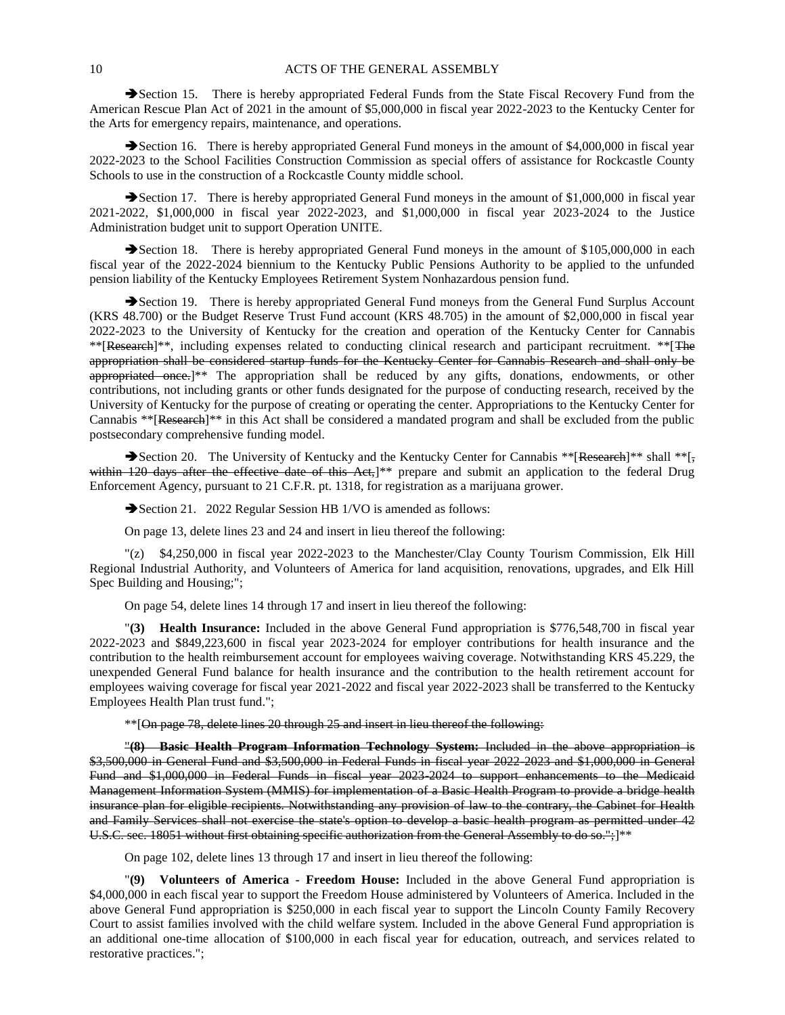Section 15. There is hereby appropriated Federal Funds from the State Fiscal Recovery Fund from the American Rescue Plan Act of 2021 in the amount of \$5,000,000 in fiscal year 2022-2023 to the Kentucky Center for the Arts for emergency repairs, maintenance, and operations.

Section 16. There is hereby appropriated General Fund moneys in the amount of \$4,000,000 in fiscal year 2022-2023 to the School Facilities Construction Commission as special offers of assistance for Rockcastle County Schools to use in the construction of a Rockcastle County middle school.

Section 17. There is hereby appropriated General Fund moneys in the amount of \$1,000,000 in fiscal year 2021-2022, \$1,000,000 in fiscal year 2022-2023, and \$1,000,000 in fiscal year 2023-2024 to the Justice Administration budget unit to support Operation UNITE.

Section 18. There is hereby appropriated General Fund moneys in the amount of \$105,000,000 in each fiscal year of the 2022-2024 biennium to the Kentucky Public Pensions Authority to be applied to the unfunded pension liability of the Kentucky Employees Retirement System Nonhazardous pension fund.

Section 19. There is hereby appropriated General Fund moneys from the General Fund Surplus Account (KRS 48.700) or the Budget Reserve Trust Fund account (KRS 48.705) in the amount of \$2,000,000 in fiscal year 2022-2023 to the University of Kentucky for the creation and operation of the Kentucky Center for Cannabis \*\*[Research]\*\*, including expenses related to conducting clinical research and participant recruitment. \*\*[The appropriation shall be considered startup funds for the Kentucky Center for Cannabis Research and shall only be appropriated once.]\*\* The appropriation shall be reduced by any gifts, donations, endowments, or other contributions, not including grants or other funds designated for the purpose of conducting research, received by the University of Kentucky for the purpose of creating or operating the center. Appropriations to the Kentucky Center for Cannabis \*\*[Research]\*\* in this Act shall be considered a mandated program and shall be excluded from the public postsecondary comprehensive funding model.

Section 20. The University of Kentucky and the Kentucky Center for Cannabis \*\*[Research]\*\* shall \*\*[, within 120 days after the effective date of this Act,]\*\* prepare and submit an application to the federal Drug Enforcement Agency, pursuant to 21 C.F.R. pt. 1318, for registration as a marijuana grower.

Section 21. 2022 Regular Session HB 1/VO is amended as follows:

On page 13, delete lines 23 and 24 and insert in lieu thereof the following:

"(z) \$4,250,000 in fiscal year 2022-2023 to the Manchester/Clay County Tourism Commission, Elk Hill Regional Industrial Authority, and Volunteers of America for land acquisition, renovations, upgrades, and Elk Hill Spec Building and Housing;";

On page 54, delete lines 14 through 17 and insert in lieu thereof the following:

"**(3) Health Insurance:** Included in the above General Fund appropriation is \$776,548,700 in fiscal year 2022-2023 and \$849,223,600 in fiscal year 2023-2024 for employer contributions for health insurance and the contribution to the health reimbursement account for employees waiving coverage. Notwithstanding KRS 45.229, the unexpended General Fund balance for health insurance and the contribution to the health retirement account for employees waiving coverage for fiscal year 2021-2022 and fiscal year 2022-2023 shall be transferred to the Kentucky Employees Health Plan trust fund.";

\*\*[On page 78, delete lines 20 through 25 and insert in lieu thereof the following:

"**(8) Basic Health Program Information Technology System:** Included in the above appropriation is \$3,500,000 in General Fund and \$3,500,000 in Federal Funds in fiscal year 2022-2023 and \$1,000,000 in General Fund and \$1,000,000 in Federal Funds in fiscal year 2023-2024 to support enhancements to the Medicaid Management Information System (MMIS) for implementation of a Basic Health Program to provide a bridge health insurance plan for eligible recipients. Notwithstanding any provision of law to the contrary, the Cabinet for Health and Family Services shall not exercise the state's option to develop a basic health program as permitted under 42 U.S.C. sec. 18051 without first obtaining specific authorization from the General Assembly to do so.";]<sup>\*\*</sup>

On page 102, delete lines 13 through 17 and insert in lieu thereof the following:

"**(9) Volunteers of America - Freedom House:** Included in the above General Fund appropriation is \$4,000,000 in each fiscal year to support the Freedom House administered by Volunteers of America. Included in the above General Fund appropriation is \$250,000 in each fiscal year to support the Lincoln County Family Recovery Court to assist families involved with the child welfare system. Included in the above General Fund appropriation is an additional one-time allocation of \$100,000 in each fiscal year for education, outreach, and services related to restorative practices.";